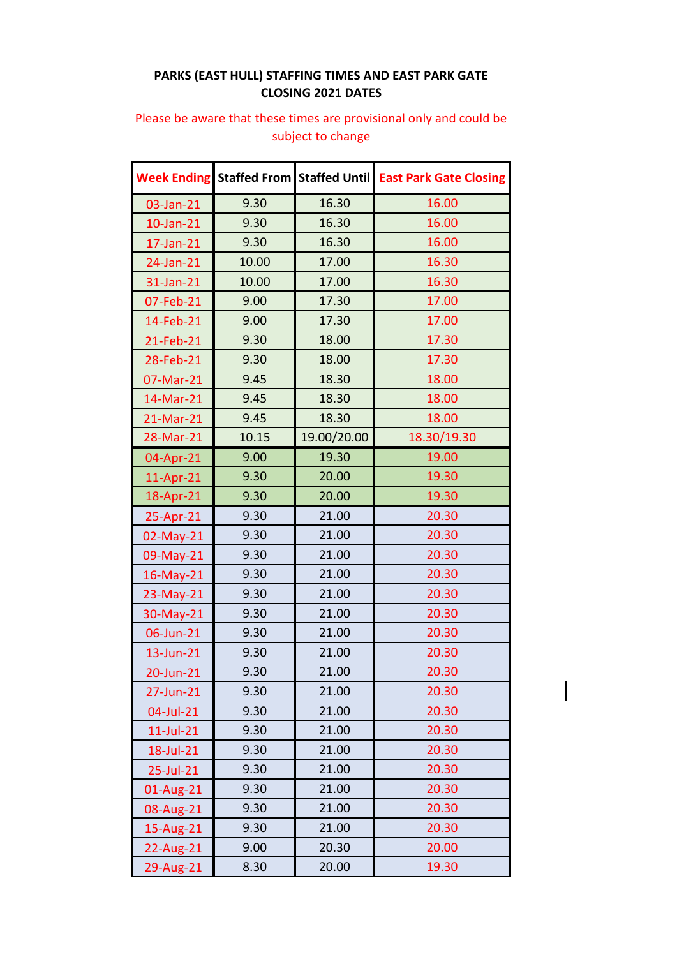## **PARKS (EAST HULL) STAFFING TIMES AND EAST PARK GATE CLOSING 2021 DATES**

## **Week Ending Staffed From Staffed Until East Park Gate Closing** 03-Jan-21 9.30 16.30 16.00 10-Jan-21 9.30 16.30 16.00 17-Jan-21 9.30 16.30 16.00 24-Jan-21 10.00 17.00 16.30 31-Jan-21 10.00 17.00 16.30 07-Feb-21 9.00 17.30 17.00 14-Feb-21 9.00 17.30 17.00 21-Feb-21 9.30 18.00 17.30 28-Feb-21 9.30 18.00 17.30 07-Mar-21 9.45 18.30 18.00 14-Mar-21 9.45 18.30 18.00 21-Mar-21 9.45 18.30 18.00 28-Mar-21 10.15 19.00/20.00 18.30/19.30 04-Apr-21 9.00 19.30 19.00 11-Apr-21 9.30 20.00 9.30 18-Apr-21 9.30 20.00 30.30 25-Apr-21 9.30 21.00 20.30 02-May-21 9.30 21.00 20.30 09-May-21 9.30 21.00 20.30 16-May-21 9.30 21.00 20.30 23-May-21 9.30 21.00 20.30 30-May-21 9.30 21.00 20.30 06-Jun-21 9.30 21.00 20.30 13-Jun-21 9.30 21.00 20.30 20-Jun-21 9.30 21.00 20.30 27-Jun-21 9.30 21.00 20.30 04-Jul-21 9.30 21.00 20.30 11-Jul-21 9.30 21.00 20.30 18-Jul-21 9.30 21.00 20.30 25-Jul-21 9.30 21.00 20.30 01-Aug-21 9.30 21.00 20.30 08-Aug-21 9.30 21.00 20.30 15-Aug-21 9.30 21.00 20.30 22-Aug-21 9.00 20.30 20.00 29-Aug-21 8.30 20.00 19.30

## Please be aware that these times are provisional only and could be subject to change